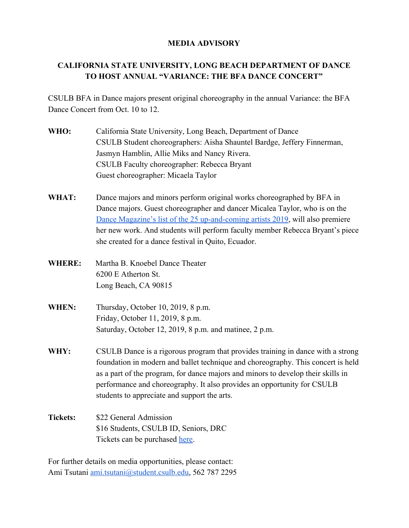## **MEDIA ADVISORY**

## **CALIFORNIA STATE UNIVERSITY, LONG BEACH DEPARTMENT OF DANCE TO HOST ANNUAL "VARIANCE: THE BFA DANCE CONCERT"**

CSULB BFA in Dance majors present original choreography in the annual Variance: the BFA Dance Concert from Oct. 10 to 12.

- **WHO:** California State University, Long Beach, Department of Dance CSULB Student choreographers: Aisha Shauntel Bardge, Jeffery Finnerman, Jasmyn Hamblin, Allie Miks and Nancy Rivera. CSULB Faculty choreographer: Rebecca Bryant Guest choreographer: Micaela Taylor
- **WHAT:** Dance majors and minors perform original works choreographed by BFA in Dance majors. Guest choreographer and dancer Micalea Taylor, who is on the [Dance Magazine's list of the 25 up-and-coming artists 2019,](https://www.dancemagazine.com/25-to-watch-2019-2621787820.html) will also premiere her new work. And students will perform faculty member Rebecca Bryant's piece she created for a dance festival in Quito, Ecuador.
- **WHERE:** Martha B. Knoebel Dance Theater 6200 E Atherton St. Long Beach, CA 90815
- **WHEN:** Thursday, October 10, 2019, 8 p.m. Friday, October 11, 2019, 8 p.m. Saturday, October 12, 2019, 8 p.m. and matinee, 2 p.m.
- **WHY:** CSULB Dance is a rigorous program that provides training in dance with a strong foundation in modern and ballet technique and choreography. This concert is held as a part of the program, for dance majors and minors to develop their skills in performance and choreography. It also provides an opportunity for CSULB students to appreciate and support the arts.
- **Tickets:** \$22 General Admission \$16 Students, CSULB ID, Seniors, DRC Tickets can be purchased [here.](https://ci.ovationtix.com/27175)

For further details on media opportunities, please contact: Ami Tsutani [ami.tsutani@student.csulb.edu,](mailto:ami.tsutani@student.csulb.edu) 562 787 2295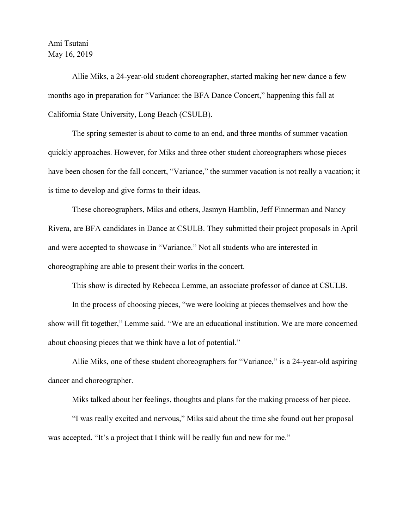## Ami Tsutani May 16, 2019

Allie Miks, a 24-year-old student choreographer, started making her new dance a few months ago in preparation for "Variance: the BFA Dance Concert," happening this fall at California State University, Long Beach (CSULB).

The spring semester is about to come to an end, and three months of summer vacation quickly approaches. However, for Miks and three other student choreographers whose pieces have been chosen for the fall concert, "Variance," the summer vacation is not really a vacation; it is time to develop and give forms to their ideas.

These choreographers, Miks and others, Jasmyn Hamblin, Jeff Finnerman and Nancy Rivera, are BFA candidates in Dance at CSULB. They submitted their project proposals in April and were accepted to showcase in "Variance." Not all students who are interested in choreographing are able to present their works in the concert.

This show is directed by Rebecca Lemme, an associate professor of dance at CSULB.

In the process of choosing pieces, "we were looking at pieces themselves and how the show will fit together," Lemme said. "We are an educational institution. We are more concerned about choosing pieces that we think have a lot of potential."

Allie Miks, one of these student choreographers for "Variance," is a 24-year-old aspiring dancer and choreographer.

Miks talked about her feelings, thoughts and plans for the making process of her piece.

"I was really excited and nervous," Miks said about the time she found out her proposal was accepted. "It's a project that I think will be really fun and new for me."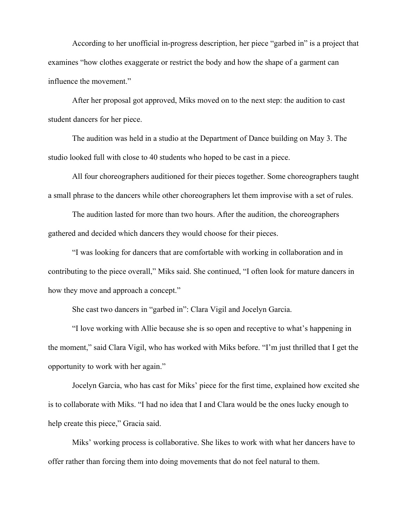According to her unofficial in-progress description, her piece "garbed in" is a project that examines "how clothes exaggerate or restrict the body and how the shape of a garment can influence the movement."

After her proposal got approved, Miks moved on to the next step: the audition to cast student dancers for her piece.

The audition was held in a studio at the Department of Dance building on May 3. The studio looked full with close to 40 students who hoped to be cast in a piece.

All four choreographers auditioned for their pieces together. Some choreographers taught a small phrase to the dancers while other choreographers let them improvise with a set of rules.

The audition lasted for more than two hours. After the audition, the choreographers gathered and decided which dancers they would choose for their pieces.

"I was looking for dancers that are comfortable with working in collaboration and in contributing to the piece overall," Miks said. She continued, "I often look for mature dancers in how they move and approach a concept."

She cast two dancers in "garbed in": Clara Vigil and Jocelyn Garcia.

"I love working with Allie because she is so open and receptive to what's happening in the moment," said Clara Vigil, who has worked with Miks before. "I'm just thrilled that I get the opportunity to work with her again."

Jocelyn Garcia, who has cast for Miks' piece for the first time, explained how excited she is to collaborate with Miks. "I had no idea that I and Clara would be the ones lucky enough to help create this piece," Gracia said.

Miks' working process is collaborative. She likes to work with what her dancers have to offer rather than forcing them into doing movements that do not feel natural to them.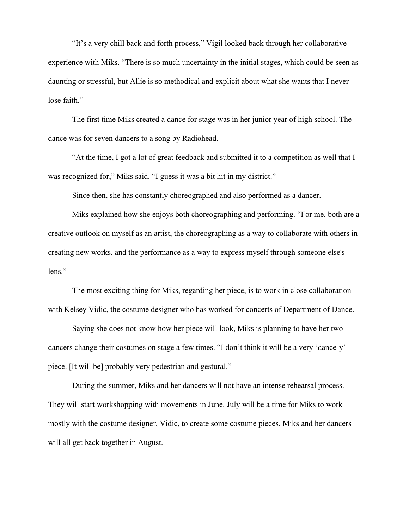"It's a very chill back and forth process," Vigil looked back through her collaborative experience with Miks. "There is so much uncertainty in the initial stages, which could be seen as daunting or stressful, but Allie is so methodical and explicit about what she wants that I never lose faith."

The first time Miks created a dance for stage was in her junior year of high school. The dance was for seven dancers to a song by Radiohead.

"At the time, I got a lot of great feedback and submitted it to a competition as well that I was recognized for," Miks said. "I guess it was a bit hit in my district."

Since then, she has constantly choreographed and also performed as a dancer.

Miks explained how she enjoys both choreographing and performing. "For me, both are a creative outlook on myself as an artist, the choreographing as a way to collaborate with others in creating new works, and the performance as a way to express myself through someone else's lens."

The most exciting thing for Miks, regarding her piece, is to work in close collaboration with Kelsey Vidic, the costume designer who has worked for concerts of Department of Dance.

Saying she does not know how her piece will look, Miks is planning to have her two dancers change their costumes on stage a few times. "I don't think it will be a very 'dance-y' piece. [It will be] probably very pedestrian and gestural."

During the summer, Miks and her dancers will not have an intense rehearsal process. They will start workshopping with movements in June. July will be a time for Miks to work mostly with the costume designer, Vidic, to create some costume pieces. Miks and her dancers will all get back together in August.